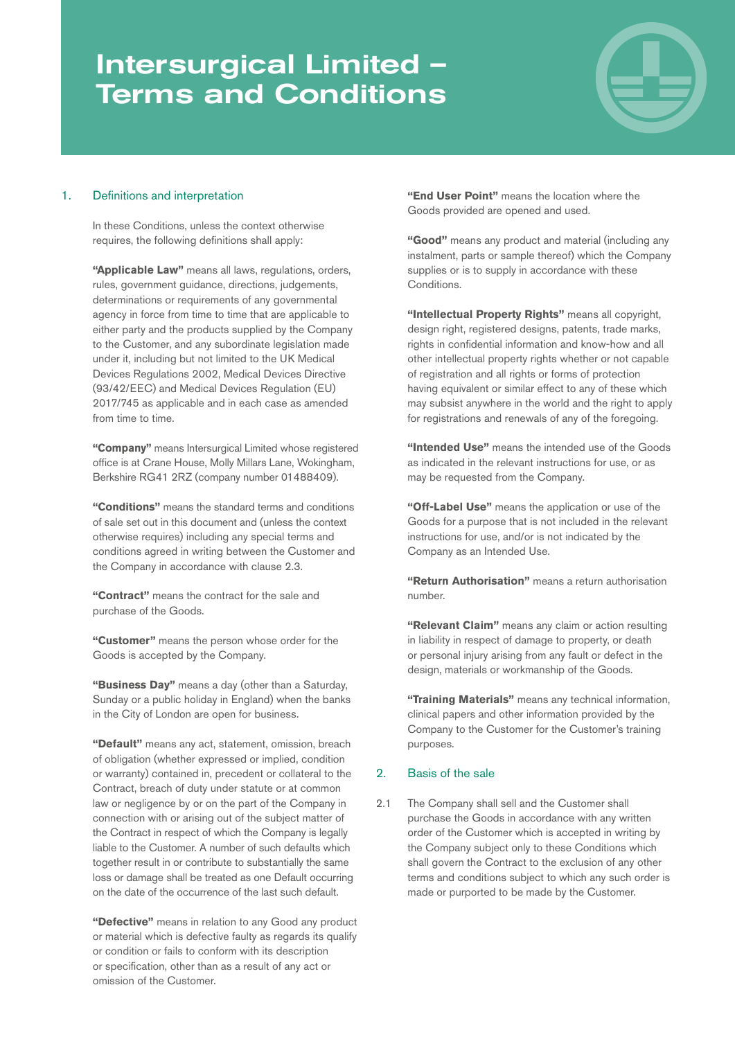# Intersurgical Limited – Terms and Conditions



## 1. Definitions and interpretation

In these Conditions, unless the context otherwise requires, the following definitions shall apply:

**"Applicable Law"** means all laws, regulations, orders, rules, government guidance, directions, judgements, determinations or requirements of any governmental agency in force from time to time that are applicable to either party and the products supplied by the Company to the Customer, and any subordinate legislation made under it, including but not limited to the UK Medical Devices Regulations 2002, Medical Devices Directive (93/42/EEC) and Medical Devices Regulation (EU) 2017/745 as applicable and in each case as amended from time to time.

**"Company"** means Intersurgical Limited whose registered office is at Crane House, Molly Millars Lane, Wokingham, Berkshire RG41 2RZ (company number 01488409).

**"Conditions"** means the standard terms and conditions of sale set out in this document and (unless the context otherwise requires) including any special terms and conditions agreed in writing between the Customer and the Company in accordance with clause 2.3.

**"Contract"** means the contract for the sale and purchase of the Goods.

**"Customer"** means the person whose order for the Goods is accepted by the Company.

**"Business Day"** means a day (other than a Saturday, Sunday or a public holiday in England) when the banks in the City of London are open for business.

**"Default"** means any act, statement, omission, breach of obligation (whether expressed or implied, condition or warranty) contained in, precedent or collateral to the Contract, breach of duty under statute or at common law or negligence by or on the part of the Company in connection with or arising out of the subject matter of the Contract in respect of which the Company is legally liable to the Customer. A number of such defaults which together result in or contribute to substantially the same loss or damage shall be treated as one Default occurring on the date of the occurrence of the last such default.

**"Defective"** means in relation to any Good any product or material which is defective faulty as regards its qualify or condition or fails to conform with its description or specification, other than as a result of any act or omission of the Customer.

**"End User Point"** means the location where the Goods provided are opened and used.

**"Good"** means any product and material (including any instalment, parts or sample thereof) which the Company supplies or is to supply in accordance with these Conditions.

**"Intellectual Property Rights"** means all copyright, design right, registered designs, patents, trade marks, rights in confidential information and know-how and all other intellectual property rights whether or not capable of registration and all rights or forms of protection having equivalent or similar effect to any of these which may subsist anywhere in the world and the right to apply for registrations and renewals of any of the foregoing.

**"Intended Use"** means the intended use of the Goods as indicated in the relevant instructions for use, or as may be requested from the Company.

**"Off-Label Use"** means the application or use of the Goods for a purpose that is not included in the relevant instructions for use, and/or is not indicated by the Company as an Intended Use.

**"Return Authorisation"** means a return authorisation number.

**"Relevant Claim"** means any claim or action resulting in liability in respect of damage to property, or death or personal injury arising from any fault or defect in the design, materials or workmanship of the Goods.

**"Training Materials"** means any technical information, clinical papers and other information provided by the Company to the Customer for the Customer's training purposes.

## 2. Basis of the sale

2.1 The Company shall sell and the Customer shall purchase the Goods in accordance with any written order of the Customer which is accepted in writing by the Company subject only to these Conditions which shall govern the Contract to the exclusion of any other terms and conditions subject to which any such order is made or purported to be made by the Customer.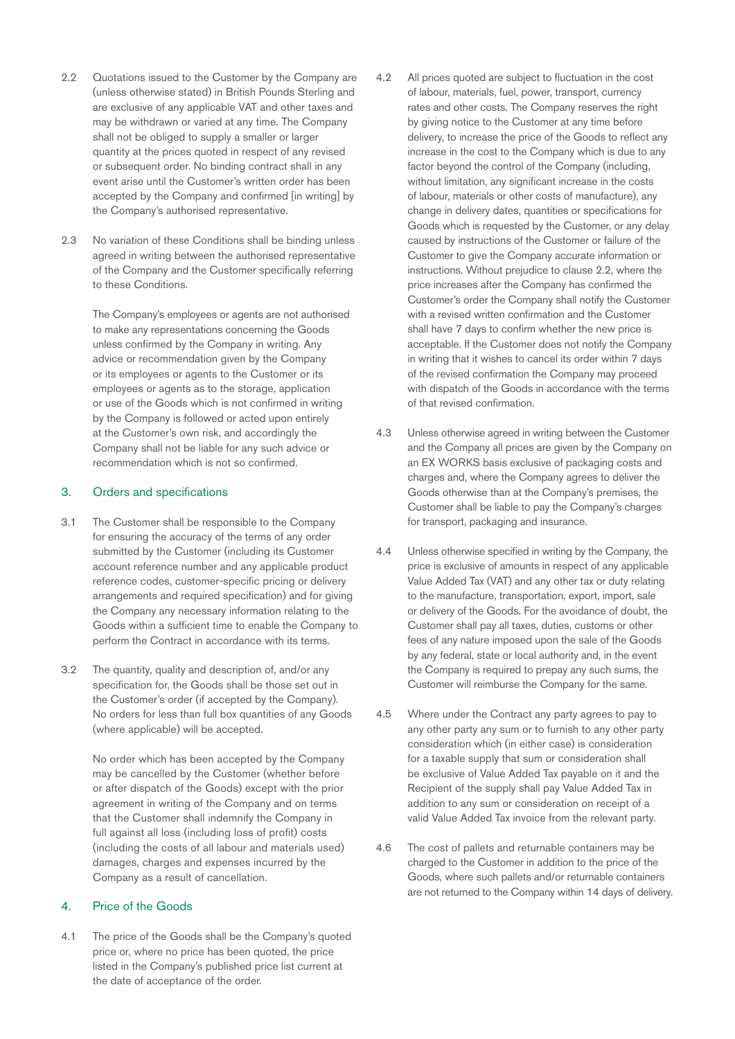- 2.2 Quotations issued to the Customer by the Company are (unless otherwise stated) in British Pounds Sterling and are exclusive of any applicable VAT and other taxes and may be withdrawn or varied at any time. The Company shall not be obliged to supply a smaller or larger quantity at the prices quoted in respect of any revised or subsequent order. No binding contract shall in any event arise until the Customer's written order has been accepted by the Company and confirmed [in writing] by the Company's authorised representative.
- 2.3 No variation of these Conditions shall be binding unless agreed in writing between the authorised representative of the Company and the Customer specifically referring to these Conditions.

The Company's employees or agents are not authorised to make any representations concerning the Goods unless confirmed by the Company in writing. Any advice or recommendation given by the Company or its employees or agents to the Customer or its employees or agents as to the storage, application or use of the Goods which is not confirmed in writing by the Company is followed or acted upon entirely at the Customer's own risk, and accordingly the Company shall not be liable for any such advice or recommendation which is not so confirmed.

#### 3. Orders and specifications

- 3.1 The Customer shall be responsible to the Company for ensuring the accuracy of the terms of any order submitted by the Customer (including its Customer account reference number and any applicable product reference codes, customer-specific pricing or delivery arrangements and required specification) and for giving the Company any necessary information relating to the Goods within a sufficient time to enable the Company to perform the Contract in accordance with its terms.
- 3.2 The quantity, quality and description of, and/or any specification for, the Goods shall be those set out in the Customer's order (if accepted by the Company). No orders for less than full box quantities of any Goods (where applicable) will be accepted.

No order which has been accepted by the Company may be cancelled by the Customer (whether before or after dispatch of the Goods) except with the prior agreement in writing of the Company and on terms that the Customer shall indemnify the Company in full against all loss (including loss of profit) costs (including the costs of all labour and materials used) damages, charges and expenses incurred by the Company as a result of cancellation.

## 4. Price of the Goods

4.1 The price of the Goods shall be the Company's quoted price or, where no price has been quoted, the price listed in the Company's published price list current at the date of acceptance of the order.

- 4.2 All prices quoted are subject to fluctuation in the cost of labour, materials, fuel, power, transport, currency rates and other costs. The Company reserves the right by giving notice to the Customer at any time before delivery, to increase the price of the Goods to reflect any increase in the cost to the Company which is due to any factor beyond the control of the Company (including, without limitation, any significant increase in the costs of labour, materials or other costs of manufacture), any change in delivery dates, quantities or specifications for Goods which is requested by the Customer, or any delay caused by instructions of the Customer or failure of the Customer to give the Company accurate information or instructions. Without prejudice to clause 2.2, where the price increases after the Company has confirmed the Customer's order the Company shall notify the Customer with a revised written confirmation and the Customer shall have 7 days to confirm whether the new price is acceptable. If the Customer does not notify the Company in writing that it wishes to cancel its order within 7 days of the revised confirmation the Company may proceed with dispatch of the Goods in accordance with the terms of that revised confirmation.
- 4.3 Unless otherwise agreed in writing between the Customer and the Company all prices are given by the Company on an EX WORKS basis exclusive of packaging costs and charges and, where the Company agrees to deliver the Goods otherwise than at the Company's premises, the Customer shall be liable to pay the Company's charges for transport, packaging and insurance.
- 4.4 Unless otherwise specified in writing by the Company, the price is exclusive of amounts in respect of any applicable Value Added Tax (VAT) and any other tax or duty relating to the manufacture, transportation, export, import, sale or delivery of the Goods. For the avoidance of doubt, the Customer shall pay all taxes, duties, customs or other fees of any nature imposed upon the sale of the Goods by any federal, state or local authority and, in the event the Company is required to prepay any such sums, the Customer will reimburse the Company for the same.
- 4.5 Where under the Contract any party agrees to pay to any other party any sum or to furnish to any other party consideration which (in either case) is consideration for a taxable supply that sum or consideration shall be exclusive of Value Added Tax payable on it and the Recipient of the supply shall pay Value Added Tax in addition to any sum or consideration on receipt of a valid Value Added Tax invoice from the relevant party.
- 4.6 The cost of pallets and returnable containers may be charged to the Customer in addition to the price of the Goods, where such pallets and/or returnable containers are not returned to the Company within 14 days of delivery.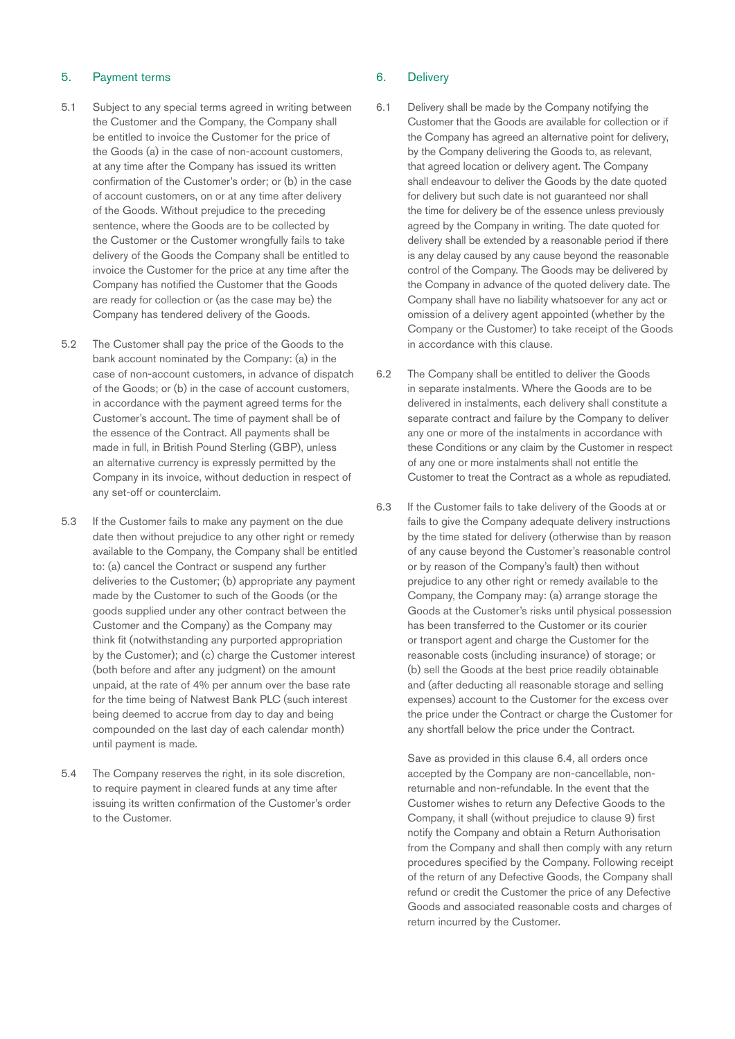#### 5. Payment terms

- 5.1 Subject to any special terms agreed in writing between the Customer and the Company, the Company shall be entitled to invoice the Customer for the price of the Goods (a) in the case of non-account customers, at any time after the Company has issued its written confirmation of the Customer's order; or (b) in the case of account customers, on or at any time after delivery of the Goods. Without prejudice to the preceding sentence, where the Goods are to be collected by the Customer or the Customer wrongfully fails to take delivery of the Goods the Company shall be entitled to invoice the Customer for the price at any time after the Company has notified the Customer that the Goods are ready for collection or (as the case may be) the Company has tendered delivery of the Goods.
- 5.2 The Customer shall pay the price of the Goods to the bank account nominated by the Company: (a) in the case of non-account customers, in advance of dispatch of the Goods; or (b) in the case of account customers, in accordance with the payment agreed terms for the Customer's account. The time of payment shall be of the essence of the Contract. All payments shall be made in full, in British Pound Sterling (GBP), unless an alternative currency is expressly permitted by the Company in its invoice, without deduction in respect of any set-off or counterclaim.
- 5.3 If the Customer fails to make any payment on the due date then without prejudice to any other right or remedy available to the Company, the Company shall be entitled to: (a) cancel the Contract or suspend any further deliveries to the Customer; (b) appropriate any payment made by the Customer to such of the Goods (or the goods supplied under any other contract between the Customer and the Company) as the Company may think fit (notwithstanding any purported appropriation by the Customer); and (c) charge the Customer interest (both before and after any judgment) on the amount unpaid, at the rate of 4% per annum over the base rate for the time being of Natwest Bank PLC (such interest being deemed to accrue from day to day and being compounded on the last day of each calendar month) until payment is made.
- 5.4 The Company reserves the right, in its sole discretion, to require payment in cleared funds at any time after issuing its written confirmation of the Customer's order to the Customer.

## 6. Delivery

- 6.1 Delivery shall be made by the Company notifying the Customer that the Goods are available for collection or if the Company has agreed an alternative point for delivery, by the Company delivering the Goods to, as relevant, that agreed location or delivery agent. The Company shall endeavour to deliver the Goods by the date quoted for delivery but such date is not guaranteed nor shall the time for delivery be of the essence unless previously agreed by the Company in writing. The date quoted for delivery shall be extended by a reasonable period if there is any delay caused by any cause beyond the reasonable control of the Company. The Goods may be delivered by the Company in advance of the quoted delivery date. The Company shall have no liability whatsoever for any act or omission of a delivery agent appointed (whether by the Company or the Customer) to take receipt of the Goods in accordance with this clause.
- 6.2 The Company shall be entitled to deliver the Goods in separate instalments. Where the Goods are to be delivered in instalments, each delivery shall constitute a separate contract and failure by the Company to deliver any one or more of the instalments in accordance with these Conditions or any claim by the Customer in respect of any one or more instalments shall not entitle the Customer to treat the Contract as a whole as repudiated.
- 6.3 If the Customer fails to take delivery of the Goods at or fails to give the Company adequate delivery instructions by the time stated for delivery (otherwise than by reason of any cause beyond the Customer's reasonable control or by reason of the Company's fault) then without prejudice to any other right or remedy available to the Company, the Company may: (a) arrange storage the Goods at the Customer's risks until physical possession has been transferred to the Customer or its courier or transport agent and charge the Customer for the reasonable costs (including insurance) of storage; or (b) sell the Goods at the best price readily obtainable and (after deducting all reasonable storage and selling expenses) account to the Customer for the excess over the price under the Contract or charge the Customer for any shortfall below the price under the Contract.

Save as provided in this clause 6.4, all orders once accepted by the Company are non-cancellable, nonreturnable and non-refundable. In the event that the Customer wishes to return any Defective Goods to the Company, it shall (without prejudice to clause 9) first notify the Company and obtain a Return Authorisation from the Company and shall then comply with any return procedures specified by the Company. Following receipt of the return of any Defective Goods, the Company shall refund or credit the Customer the price of any Defective Goods and associated reasonable costs and charges of return incurred by the Customer.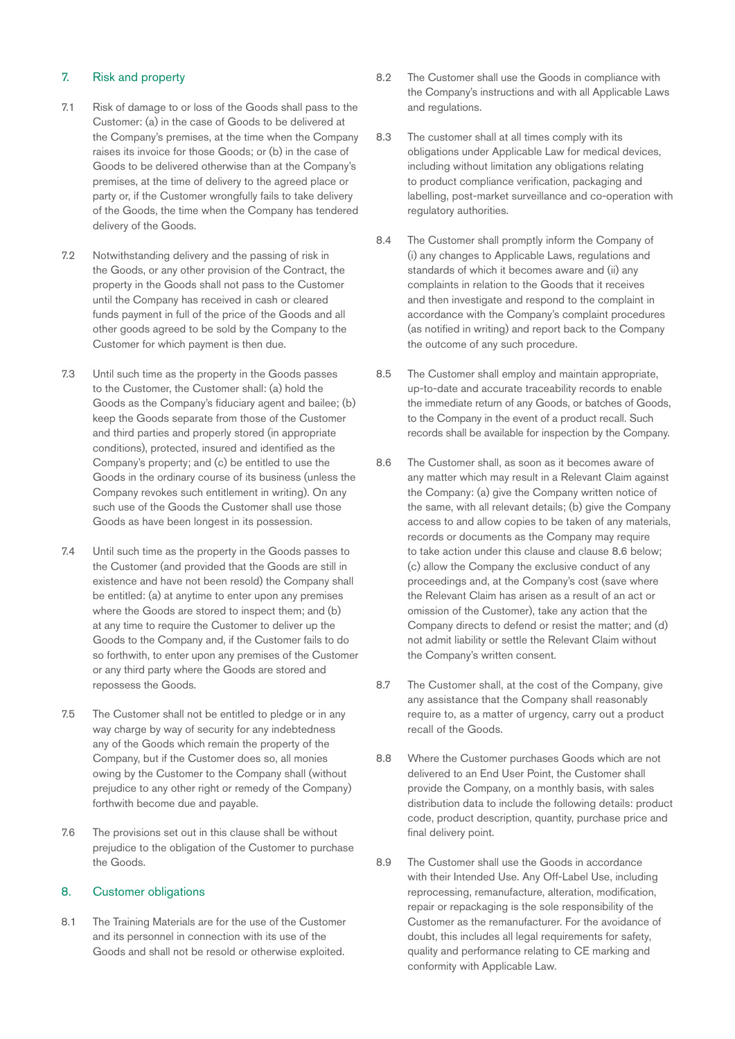## 7. Risk and property

- 7.1 Risk of damage to or loss of the Goods shall pass to the Customer: (a) in the case of Goods to be delivered at the Company's premises, at the time when the Company raises its invoice for those Goods; or (b) in the case of Goods to be delivered otherwise than at the Company's premises, at the time of delivery to the agreed place or party or, if the Customer wrongfully fails to take delivery of the Goods, the time when the Company has tendered delivery of the Goods.
- 7.2 Notwithstanding delivery and the passing of risk in the Goods, or any other provision of the Contract, the property in the Goods shall not pass to the Customer until the Company has received in cash or cleared funds payment in full of the price of the Goods and all other goods agreed to be sold by the Company to the Customer for which payment is then due.
- 7.3 Until such time as the property in the Goods passes to the Customer, the Customer shall: (a) hold the Goods as the Company's fiduciary agent and bailee; (b) keep the Goods separate from those of the Customer and third parties and properly stored (in appropriate conditions), protected, insured and identified as the Company's property; and (c) be entitled to use the Goods in the ordinary course of its business (unless the Company revokes such entitlement in writing). On any such use of the Goods the Customer shall use those Goods as have been longest in its possession.
- 7.4 Until such time as the property in the Goods passes to the Customer (and provided that the Goods are still in existence and have not been resold) the Company shall be entitled: (a) at anytime to enter upon any premises where the Goods are stored to inspect them; and (b) at any time to require the Customer to deliver up the Goods to the Company and, if the Customer fails to do so forthwith, to enter upon any premises of the Customer or any third party where the Goods are stored and repossess the Goods.
- 7.5 The Customer shall not be entitled to pledge or in any way charge by way of security for any indebtedness any of the Goods which remain the property of the Company, but if the Customer does so, all monies owing by the Customer to the Company shall (without prejudice to any other right or remedy of the Company) forthwith become due and payable.
- 7.6 The provisions set out in this clause shall be without prejudice to the obligation of the Customer to purchase the Goods.

## 8. Customer obligations

8.1 The Training Materials are for the use of the Customer and its personnel in connection with its use of the Goods and shall not be resold or otherwise exploited.

- 8.2 The Customer shall use the Goods in compliance with the Company's instructions and with all Applicable Laws and regulations.
- 8.3 The customer shall at all times comply with its obligations under Applicable Law for medical devices, including without limitation any obligations relating to product compliance verification, packaging and labelling, post-market surveillance and co-operation with regulatory authorities.
- 8.4 The Customer shall promptly inform the Company of (i) any changes to Applicable Laws, regulations and standards of which it becomes aware and (ii) any complaints in relation to the Goods that it receives and then investigate and respond to the complaint in accordance with the Company's complaint procedures (as notified in writing) and report back to the Company the outcome of any such procedure.
- 8.5 The Customer shall employ and maintain appropriate, up-to-date and accurate traceability records to enable the immediate return of any Goods, or batches of Goods, to the Company in the event of a product recall. Such records shall be available for inspection by the Company.
- 8.6 The Customer shall, as soon as it becomes aware of any matter which may result in a Relevant Claim against the Company: (a) give the Company written notice of the same, with all relevant details; (b) give the Company access to and allow copies to be taken of any materials, records or documents as the Company may require to take action under this clause and clause 8.6 below; (c) allow the Company the exclusive conduct of any proceedings and, at the Company's cost (save where the Relevant Claim has arisen as a result of an act or omission of the Customer), take any action that the Company directs to defend or resist the matter; and (d) not admit liability or settle the Relevant Claim without the Company's written consent.
- 8.7 The Customer shall, at the cost of the Company, give any assistance that the Company shall reasonably require to, as a matter of urgency, carry out a product recall of the Goods.
- 8.8 Where the Customer purchases Goods which are not delivered to an End User Point, the Customer shall provide the Company, on a monthly basis, with sales distribution data to include the following details: product code, product description, quantity, purchase price and final delivery point.
- 8.9 The Customer shall use the Goods in accordance with their Intended Use. Any Off-Label Use, including reprocessing, remanufacture, alteration, modification, repair or repackaging is the sole responsibility of the Customer as the remanufacturer. For the avoidance of doubt, this includes all legal requirements for safety, quality and performance relating to CE marking and conformity with Applicable Law.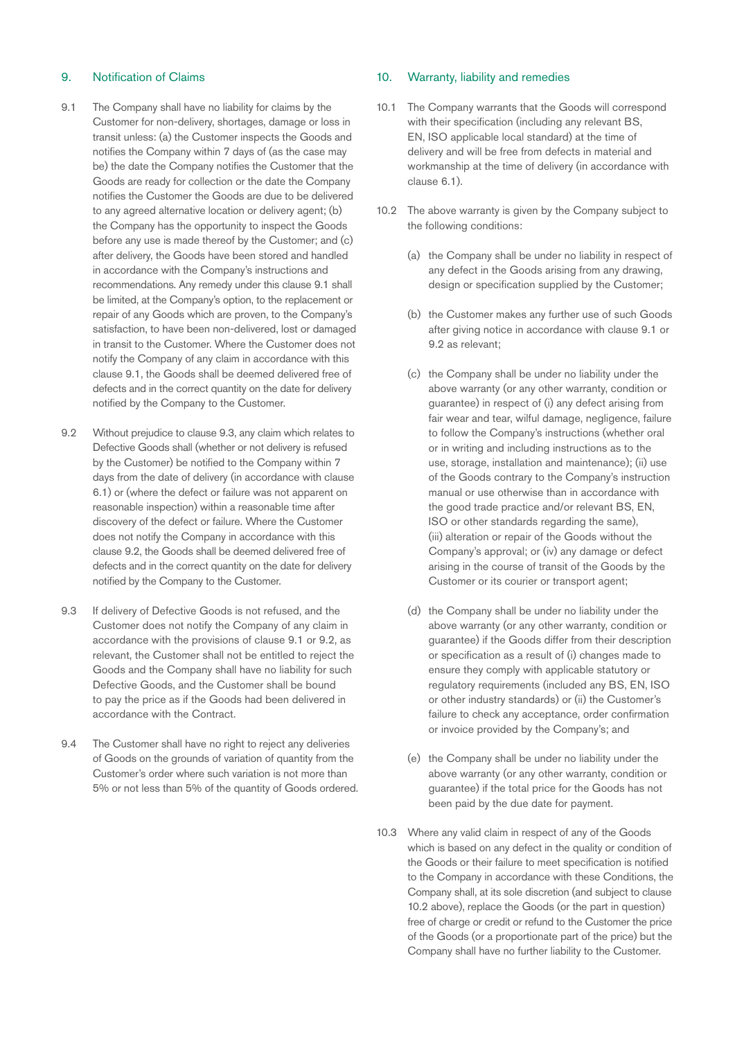## 9. Notification of Claims

- 9.1 The Company shall have no liability for claims by the Customer for non-delivery, shortages, damage or loss in transit unless: (a) the Customer inspects the Goods and notifies the Company within 7 days of (as the case may be) the date the Company notifies the Customer that the Goods are ready for collection or the date the Company notifies the Customer the Goods are due to be delivered to any agreed alternative location or delivery agent; (b) the Company has the opportunity to inspect the Goods before any use is made thereof by the Customer; and (c) after delivery, the Goods have been stored and handled in accordance with the Company's instructions and recommendations. Any remedy under this clause 9.1 shall be limited, at the Company's option, to the replacement or repair of any Goods which are proven, to the Company's satisfaction, to have been non-delivered, lost or damaged in transit to the Customer. Where the Customer does not notify the Company of any claim in accordance with this clause 9.1, the Goods shall be deemed delivered free of defects and in the correct quantity on the date for delivery notified by the Company to the Customer.
- 9.2 Without prejudice to clause 9.3, any claim which relates to Defective Goods shall (whether or not delivery is refused by the Customer) be notified to the Company within 7 days from the date of delivery (in accordance with clause 6.1) or (where the defect or failure was not apparent on reasonable inspection) within a reasonable time after discovery of the defect or failure. Where the Customer does not notify the Company in accordance with this clause 9.2, the Goods shall be deemed delivered free of defects and in the correct quantity on the date for delivery notified by the Company to the Customer.
- 9.3 If delivery of Defective Goods is not refused, and the Customer does not notify the Company of any claim in accordance with the provisions of clause 9.1 or 9.2, as relevant, the Customer shall not be entitled to reject the Goods and the Company shall have no liability for such Defective Goods, and the Customer shall be bound to pay the price as if the Goods had been delivered in accordance with the Contract.
- 9.4 The Customer shall have no right to reject any deliveries of Goods on the grounds of variation of quantity from the Customer's order where such variation is not more than 5% or not less than 5% of the quantity of Goods ordered.

## 10. Warranty, liability and remedies

- 10.1 The Company warrants that the Goods will correspond with their specification (including any relevant BS, EN, ISO applicable local standard) at the time of delivery and will be free from defects in material and workmanship at the time of delivery (in accordance with clause 6.1).
- 10.2 The above warranty is given by the Company subject to the following conditions:
	- (a) the Company shall be under no liability in respect of any defect in the Goods arising from any drawing, design or specification supplied by the Customer;
	- (b) the Customer makes any further use of such Goods after giving notice in accordance with clause 9.1 or 9.2 as relevant;
	- (c) the Company shall be under no liability under the above warranty (or any other warranty, condition or guarantee) in respect of (i) any defect arising from fair wear and tear, wilful damage, negligence, failure to follow the Company's instructions (whether oral or in writing and including instructions as to the use, storage, installation and maintenance); (ii) use of the Goods contrary to the Company's instruction manual or use otherwise than in accordance with the good trade practice and/or relevant BS, EN, ISO or other standards regarding the same), (iii) alteration or repair of the Goods without the Company's approval; or (iv) any damage or defect arising in the course of transit of the Goods by the Customer or its courier or transport agent;
	- (d) the Company shall be under no liability under the above warranty (or any other warranty, condition or guarantee) if the Goods differ from their description or specification as a result of (i) changes made to ensure they comply with applicable statutory or regulatory requirements (included any BS, EN, ISO or other industry standards) or (ii) the Customer's failure to check any acceptance, order confirmation or invoice provided by the Company's; and
	- (e) the Company shall be under no liability under the above warranty (or any other warranty, condition or guarantee) if the total price for the Goods has not been paid by the due date for payment.
- 10.3 Where any valid claim in respect of any of the Goods which is based on any defect in the quality or condition of the Goods or their failure to meet specification is notified to the Company in accordance with these Conditions, the Company shall, at its sole discretion (and subject to clause 10.2 above), replace the Goods (or the part in question) free of charge or credit or refund to the Customer the price of the Goods (or a proportionate part of the price) but the Company shall have no further liability to the Customer.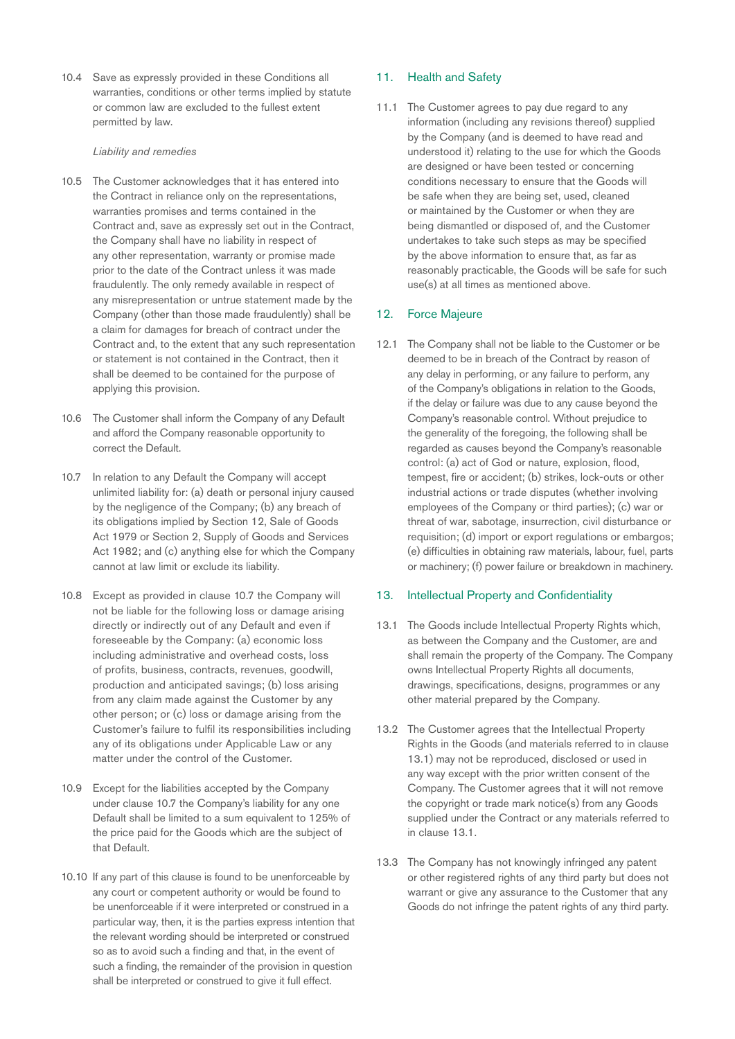10.4 Save as expressly provided in these Conditions all warranties, conditions or other terms implied by statute or common law are excluded to the fullest extent permitted by law.

#### *Liability and remedies*

- 10.5 The Customer acknowledges that it has entered into the Contract in reliance only on the representations, warranties promises and terms contained in the Contract and, save as expressly set out in the Contract, the Company shall have no liability in respect of any other representation, warranty or promise made prior to the date of the Contract unless it was made fraudulently. The only remedy available in respect of any misrepresentation or untrue statement made by the Company (other than those made fraudulently) shall be a claim for damages for breach of contract under the Contract and, to the extent that any such representation or statement is not contained in the Contract, then it shall be deemed to be contained for the purpose of applying this provision.
- 10.6 The Customer shall inform the Company of any Default and afford the Company reasonable opportunity to correct the Default.
- 10.7 In relation to any Default the Company will accept unlimited liability for: (a) death or personal injury caused by the negligence of the Company; (b) any breach of its obligations implied by Section 12, Sale of Goods Act 1979 or Section 2, Supply of Goods and Services Act 1982; and (c) anything else for which the Company cannot at law limit or exclude its liability.
- 10.8 Except as provided in clause 10.7 the Company will not be liable for the following loss or damage arising directly or indirectly out of any Default and even if foreseeable by the Company: (a) economic loss including administrative and overhead costs, loss of profits, business, contracts, revenues, goodwill, production and anticipated savings; (b) loss arising from any claim made against the Customer by any other person; or (c) loss or damage arising from the Customer's failure to fulfil its responsibilities including any of its obligations under Applicable Law or any matter under the control of the Customer.
- 10.9 Except for the liabilities accepted by the Company under clause 10.7 the Company's liability for any one Default shall be limited to a sum equivalent to 125% of the price paid for the Goods which are the subject of that Default.
- 10.10 If any part of this clause is found to be unenforceable by any court or competent authority or would be found to be unenforceable if it were interpreted or construed in a particular way, then, it is the parties express intention that the relevant wording should be interpreted or construed so as to avoid such a finding and that, in the event of such a finding, the remainder of the provision in question shall be interpreted or construed to give it full effect.

## 11. Health and Safety

11.1 The Customer agrees to pay due regard to any information (including any revisions thereof) supplied by the Company (and is deemed to have read and understood it) relating to the use for which the Goods are designed or have been tested or concerning conditions necessary to ensure that the Goods will be safe when they are being set, used, cleaned or maintained by the Customer or when they are being dismantled or disposed of, and the Customer undertakes to take such steps as may be specified by the above information to ensure that, as far as reasonably practicable, the Goods will be safe for such use(s) at all times as mentioned above.

#### 12. Force Majeure

12.1 The Company shall not be liable to the Customer or be deemed to be in breach of the Contract by reason of any delay in performing, or any failure to perform, any of the Company's obligations in relation to the Goods, if the delay or failure was due to any cause beyond the Company's reasonable control. Without prejudice to the generality of the foregoing, the following shall be regarded as causes beyond the Company's reasonable control: (a) act of God or nature, explosion, flood, tempest, fire or accident; (b) strikes, lock-outs or other industrial actions or trade disputes (whether involving employees of the Company or third parties); (c) war or threat of war, sabotage, insurrection, civil disturbance or requisition; (d) import or export regulations or embargos; (e) difficulties in obtaining raw materials, labour, fuel, parts or machinery; (f) power failure or breakdown in machinery.

#### 13. Intellectual Property and Confidentiality

- 13.1 The Goods include Intellectual Property Rights which, as between the Company and the Customer, are and shall remain the property of the Company. The Company owns Intellectual Property Rights all documents, drawings, specifications, designs, programmes or any other material prepared by the Company.
- 13.2 The Customer agrees that the Intellectual Property Rights in the Goods (and materials referred to in clause 13.1) may not be reproduced, disclosed or used in any way except with the prior written consent of the Company. The Customer agrees that it will not remove the copyright or trade mark notice(s) from any Goods supplied under the Contract or any materials referred to in clause 13.1.
- 13.3 The Company has not knowingly infringed any patent or other registered rights of any third party but does not warrant or give any assurance to the Customer that any Goods do not infringe the patent rights of any third party.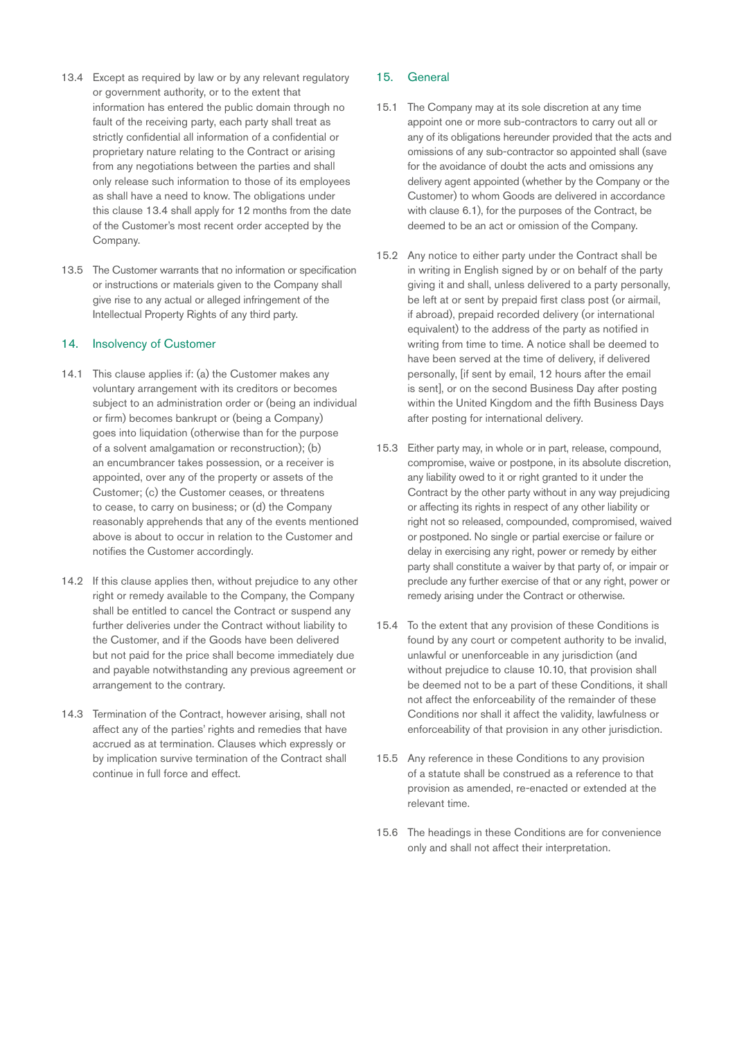- 13.4 Except as required by law or by any relevant regulatory or government authority, or to the extent that information has entered the public domain through no fault of the receiving party, each party shall treat as strictly confidential all information of a confidential or proprietary nature relating to the Contract or arising from any negotiations between the parties and shall only release such information to those of its employees as shall have a need to know. The obligations under this clause 13.4 shall apply for 12 months from the date of the Customer's most recent order accepted by the Company.
- 13.5 The Customer warrants that no information or specification or instructions or materials given to the Company shall give rise to any actual or alleged infringement of the Intellectual Property Rights of any third party.

#### 14. Insolvency of Customer

- 14.1 This clause applies if: (a) the Customer makes any voluntary arrangement with its creditors or becomes subject to an administration order or (being an individual or firm) becomes bankrupt or (being a Company) goes into liquidation (otherwise than for the purpose of a solvent amalgamation or reconstruction); (b) an encumbrancer takes possession, or a receiver is appointed, over any of the property or assets of the Customer; (c) the Customer ceases, or threatens to cease, to carry on business; or (d) the Company reasonably apprehends that any of the events mentioned above is about to occur in relation to the Customer and notifies the Customer accordingly.
- 14.2 If this clause applies then, without prejudice to any other right or remedy available to the Company, the Company shall be entitled to cancel the Contract or suspend any further deliveries under the Contract without liability to the Customer, and if the Goods have been delivered but not paid for the price shall become immediately due and payable notwithstanding any previous agreement or arrangement to the contrary.
- 14.3 Termination of the Contract, however arising, shall not affect any of the parties' rights and remedies that have accrued as at termination. Clauses which expressly or by implication survive termination of the Contract shall continue in full force and effect.

## 15. General

- 15.1 The Company may at its sole discretion at any time appoint one or more sub-contractors to carry out all or any of its obligations hereunder provided that the acts and omissions of any sub-contractor so appointed shall (save for the avoidance of doubt the acts and omissions any delivery agent appointed (whether by the Company or the Customer) to whom Goods are delivered in accordance with clause 6.1), for the purposes of the Contract, be deemed to be an act or omission of the Company.
- 15.2 Any notice to either party under the Contract shall be in writing in English signed by or on behalf of the party giving it and shall, unless delivered to a party personally, be left at or sent by prepaid first class post (or airmail, if abroad), prepaid recorded delivery (or international equivalent) to the address of the party as notified in writing from time to time. A notice shall be deemed to have been served at the time of delivery, if delivered personally, [if sent by email, 12 hours after the email is sent], or on the second Business Day after posting within the United Kingdom and the fifth Business Days after posting for international delivery.
- 15.3 Either party may, in whole or in part, release, compound, compromise, waive or postpone, in its absolute discretion, any liability owed to it or right granted to it under the Contract by the other party without in any way prejudicing or affecting its rights in respect of any other liability or right not so released, compounded, compromised, waived or postponed. No single or partial exercise or failure or delay in exercising any right, power or remedy by either party shall constitute a waiver by that party of, or impair or preclude any further exercise of that or any right, power or remedy arising under the Contract or otherwise.
- 15.4 To the extent that any provision of these Conditions is found by any court or competent authority to be invalid, unlawful or unenforceable in any jurisdiction (and without prejudice to clause 10.10, that provision shall be deemed not to be a part of these Conditions, it shall not affect the enforceability of the remainder of these Conditions nor shall it affect the validity, lawfulness or enforceability of that provision in any other jurisdiction.
- 15.5 Any reference in these Conditions to any provision of a statute shall be construed as a reference to that provision as amended, re-enacted or extended at the relevant time.
- 15.6 The headings in these Conditions are for convenience only and shall not affect their interpretation.